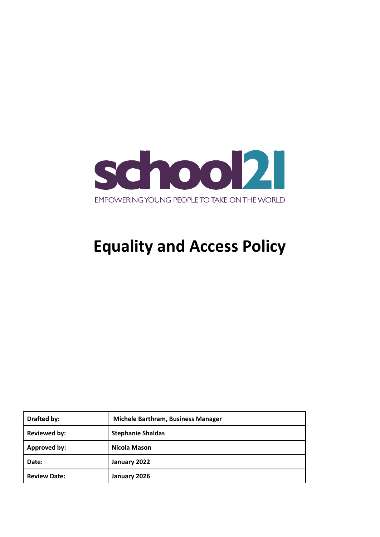

# **Equality and Access Policy**

| Drafted by:         | Michele Barthram, Business Manager |
|---------------------|------------------------------------|
| <b>Reviewed by:</b> | <b>Stephanie Shaldas</b>           |
| Approved by:        | Nicola Mason                       |
| Date:               | January 2022                       |
| <b>Review Date:</b> | January 2026                       |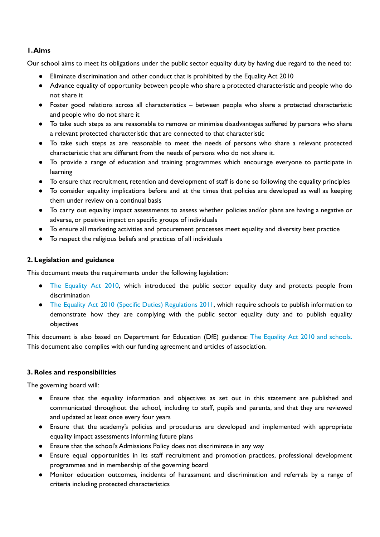# **1.Aims**

Our school aims to meet its obligations under the public sector equality duty by having due regard to the need to:

- Eliminate discrimination and other conduct that is prohibited by the Equality Act 2010
- Advance equality of opportunity between people who share a protected characteristic and people who do not share it
- Foster good relations across all characteristics between people who share a protected characteristic and people who do not share it
- To take such steps as are reasonable to remove or minimise disadvantages suffered by persons who share a relevant protected characteristic that are connected to that characteristic
- To take such steps as are reasonable to meet the needs of persons who share a relevant protected characteristic that are different from the needs of persons who do not share it.
- To provide a range of education and training programmes which encourage everyone to participate in learning
- To ensure that recruitment, retention and development of staff is done so following the equality principles
- To consider equality implications before and at the times that policies are developed as well as keeping them under review on a continual basis
- To carry out equality impact assessments to assess whether policies and/or plans are having a negative or adverse, or positive impact on specific groups of individuals
- To ensure all marketing activities and procurement processes meet equality and diversity best practice
- To respect the religious beliefs and practices of all individuals

## **2. Legislation and guidance**

This document meets the requirements under the following legislation:

- The [Equality](http://www.legislation.gov.uk/ukpga/2010/15/contents) Act 2010, which introduced the public sector equality duty and protects people from discrimination
- The Equality Act 2010 (Specific Duties) [Regulations](http://www.legislation.gov.uk/uksi/2011/2260/contents/made) 2011, which require schools to publish information to demonstrate how they are complying with the public sector equality duty and to publish equality objectives

This document is also based on Department for Education (DfE) guidance: The Equality Act 2010 and [schools.](https://www.gov.uk/government/uploads/system/uploads/attachment_data/file/315587/Equality_Act_Advice_Final.pdf) This document also complies with our funding agreement and articles of association.

# **3. Roles and responsibilities**

The governing board will:

- Ensure that the equality information and objectives as set out in this statement are published and communicated throughout the school, including to staff, pupils and parents, and that they are reviewed and updated at least once every four years
- Ensure that the academy's policies and procedures are developed and implemented with appropriate equality impact assessments informing future plans
- Ensure that the school's Admissions Policy does not discriminate in any way
- Ensure equal opportunities in its staff recruitment and promotion practices, professional development programmes and in membership of the governing board
- Monitor education outcomes, incidents of harassment and discrimination and referrals by a range of criteria including protected characteristics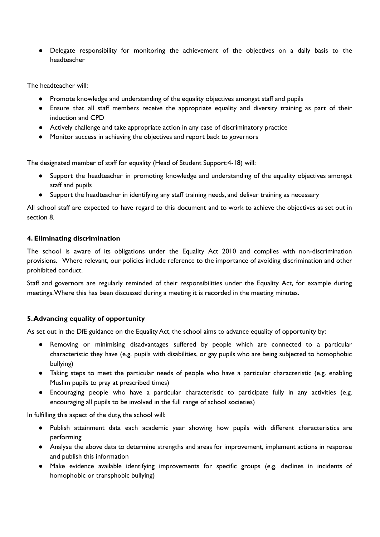● Delegate responsibility for monitoring the achievement of the objectives on a daily basis to the headteacher

The headteacher will:

- Promote knowledge and understanding of the equality objectives amongst staff and pupils
- Ensure that all staff members receive the appropriate equality and diversity training as part of their induction and CPD
- Actively challenge and take appropriate action in any case of discriminatory practice
- Monitor success in achieving the objectives and report back to governors

The designated member of staff for equality (Head of Student Support:4-18) will:

- Support the headteacher in promoting knowledge and understanding of the equality objectives amongst staff and pupils
- Support the headteacher in identifying any staff training needs, and deliver training as necessary

All school staff are expected to have regard to this document and to work to achieve the objectives as set out in section 8.

#### **4. Eliminating discrimination**

The school is aware of its obligations under the Equality Act 2010 and complies with non-discrimination provisions. Where relevant, our policies include reference to the importance of avoiding discrimination and other prohibited conduct.

Staff and governors are regularly reminded of their responsibilities under the Equality Act, for example during meetings.Where this has been discussed during a meeting it is recorded in the meeting minutes.

## **5.Advancing equality of opportunity**

As set out in the DfE guidance on the Equality Act, the school aims to advance equality of opportunity by:

- Removing or minimising disadvantages suffered by people which are connected to a particular characteristic they have (e.g. pupils with disabilities, or gay pupils who are being subjected to homophobic bullying)
- Taking steps to meet the particular needs of people who have a particular characteristic (e.g. enabling Muslim pupils to pray at prescribed times)
- Encouraging people who have a particular characteristic to participate fully in any activities (e.g. encouraging all pupils to be involved in the full range of school societies)

In fulfilling this aspect of the duty, the school will:

- Publish attainment data each academic year showing how pupils with different characteristics are performing
- Analyse the above data to determine strengths and areas for improvement, implement actions in response and publish this information
- Make evidence available identifying improvements for specific groups (e.g. declines in incidents of homophobic or transphobic bullying)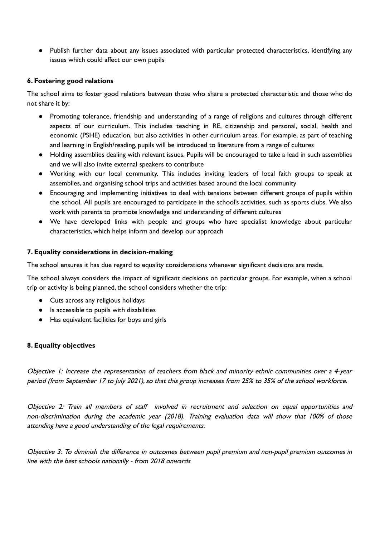● Publish further data about any issues associated with particular protected characteristics, identifying any issues which could affect our own pupils

## **6. Fostering good relations**

The school aims to foster good relations between those who share a protected characteristic and those who do not share it by:

- Promoting tolerance, friendship and understanding of a range of religions and cultures through different aspects of our curriculum. This includes teaching in RE, citizenship and personal, social, health and economic (PSHE) education, but also activities in other curriculum areas. For example, as part of teaching and learning in English/reading, pupils will be introduced to literature from a range of cultures
- Holding assemblies dealing with relevant issues. Pupils will be encouraged to take a lead in such assemblies and we will also invite external speakers to contribute
- Working with our local community. This includes inviting leaders of local faith groups to speak at assemblies, and organising school trips and activities based around the local community
- Encouraging and implementing initiatives to deal with tensions between different groups of pupils within the school. All pupils are encouraged to participate in the school's activities, such as sports clubs. We also work with parents to promote knowledge and understanding of different cultures
- We have developed links with people and groups who have specialist knowledge about particular characteristics, which helps inform and develop our approach

#### **7. Equality considerations in decision-making**

The school ensures it has due regard to equality considerations whenever significant decisions are made.

The school always considers the impact of significant decisions on particular groups. For example, when a school trip or activity is being planned, the school considers whether the trip:

- Cuts across any religious holidays
- Is accessible to pupils with disabilities
- Has equivalent facilities for boys and girls

## **8. Equality objectives**

Objective 1: Increase the representation of teachers from black and minority ethnic communities over <sup>a</sup> 4-year period (from September 17 to July 2021), so that this group increases from 25% to 35% of the school workforce.

Objective 2: Train all members of staff involved in recruitment and selection on equal opportunities and non-discrimination during the academic year (2018). Training evaluation data will show that 100% of those attending have <sup>a</sup> good understanding of the legal requirements.

Objective 3: To diminish the difference in outcomes between pupil premium and non-pupil premium outcomes in line with the best schools nationally - from 2018 onwards